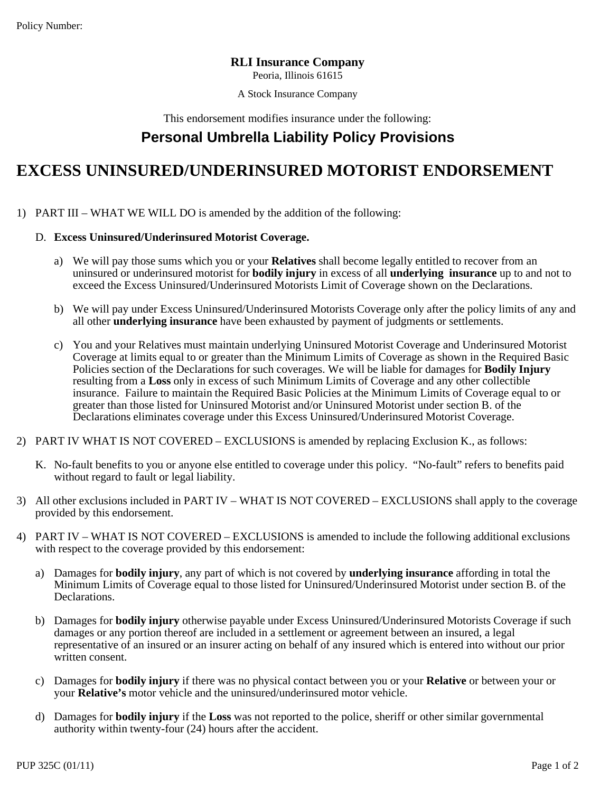Policy Number:

## **RLI Insurance Company**

Peoria, Illinois 61615

A Stock Insurance Company

This endorsement modifies insurance under the following:

## **Personal Umbrella Liability Policy Provisions**

## A Stock Insurance Company<br>
1) Personal Umbrella Liability Policy Provision<br>
EXCESS UNINSURED/UNDERINSURED MOTORIST EN<br>
1) PART III – WHAT WE WILL DO is amended by the addition of the following:<br>
1). Excess Uninsured/Underi This endorsement modifies insurance un<br> **Personal Umbrella Liability Polary Correct Coverage.**<br>
PART III – WHAT WE WILL DO is amended by the addition of the<br>
D. Excess Uninsured/Underinsured Motorist Coverage.<br>
a) We will Policy Number:<br> **EXCESS UNINSURED/UNDERINSURED MOTORIST ENDORSEMENT**<br>
2014 A Stock Insurance company<br>
This endorsement modifies insurance under the following:<br> **EXCESS UNINSURED/UNDERINSURED MOTORIST ENDORSEMENT**<br>
2014 PAR

- **ESS UNINSURED/UNDERINSURED MOTORIST ENDORSEMENT**<br>
RT III WHAT WE WILL DO is amended by the addition of the following:<br>
Excess Uninsured/Underinsured Motorist Coverage.<br>
a) We will pay those sums which you or your Relati **S UNINSURED/UNDERINSURED MOTORIST ENDORSEMENT**<br>
II – WHAT WE WILL DO is amended by the addition of the following:<br>
ess Uninsured/Underinsured Motorist Coverage.<br>
We will pay those sums which you or your Relatives shall be **S UNINSURED/UNDERINSURED MOTORIST ENDORSEMENT**<br>
II – WHAT WE WILL DO is amended by the addition of the following:<br>
ess Uninsured/Underinsured Motorist Coverage.<br>
We will pay those sums which you or your Relatives shall be **Excess Uninsured/Underinsured Motorist Coverage.**<br>
a) We will pay those sums which you or your **Relatives** shall become legally entitled to recover from an uninsured or underinsured motorist for **bodily injury** in excess II – WHAT WE WILL DO is amended by the addition of the following:<br>ess Uninsured/Underinsured Motorist Coverage.<br>We will pay those sums which you or your **Relatives** shall become legally entitled to recover from an<br>uninsure
- 
- Excess Uninsured/Underinsured Motorist Coverage.<br>
a) We will pay those sums which you or your Relatives shall become legally entitled to recover from an<br>
uninsured or underinsured motorist for **bodily injury** in excess of Coverage at limits equal to or greater than the Minimum Limits of Coverage as shown in the Required Basic We will pay those sums which you or your **Relatives** shall become legally entitled to recover from an uninsured or underinsured motorist for **bodily injury** in excess of all **underlying insurance** up to and not to exceed t We will pay those sums which you or your **Relatives** shall become legally entitled to recover from an uninsured or underinsured motorist for **bodily injury** in excess of all **underlying insurance** up to and not to exceed t uninsured or underinsured motorist for **bodily injury** in excess of all **underlying insurance** up to and not to exceed the Excess Uninsured/Underinsured Motorists Limit of Coverage shown on the Declarations.<br>We will pay un exceed the Excess Uninsured/Underinsured Motorists Limit of Coverage shown on the Declarations.<br>We will pay under Excess Uninsured/Underinsured Motorists Coverage only after the policy limits of any and<br>all other **underlyi** We will pay under Excess Uninsured/Underinsured Motorists Coverage only after the policy limits of an<br>all other **underlying insurance** have been exhausted by payment of judgments or settlements.<br>You and your Relatives must all other **underlying insurance** have been exhausted by payment of judgments or settlements.<br>
2) You and your Relatives must maintain underlying Uninsured Motorist Coverage and Underinsured Motorist<br>
2) You and your Relati C. No-fault benefits to you or greater than the Minimum Limits of Coverage and Underinsured Motorist<br>
Coverage at limits equid to or greater than the Minimum Limits of Coverage as shown in the Required Basic<br>
Policies sect Coverage at limits equal to or greater than t<br>Policies section of the Declarations for such<br>resulting from a **Loss** only in excess of such<br>insurance. Failure to maintain the Required<br>greater than those listed for Uninsured Solon a Loss only in excess of such Minimum Limits of Coverage and any other collectible<br>
insurance. Failure to maintain the Required Basic Policies at the Minimum Limits of Coverage equal to or<br>
greater than those listed insurance. Failure to maintain<br>greater than those listed for U<sub>1</sub><br>Declarations eliminates covera<br>PART IV WHAT IS NOT COVERED<br>K. No-fault benefits to you or anyone<br>without regard to fault or legal liab<br>All other exclusions
- -
- Declarations eliminates coverage under this Excess Uninsured/Underinsured Motorist Coverage.<br>
2) PART IV WHAT IS NOT COVERED EXCLUSIONS is amended by replacing Exclusion K., as follows:<br>
4) No-fault benefits to you or an PART IV WHAT IS NOT COVERED – EXCLUSIONS is amended<br>K. No-fault benefits to you or anyone else entitled to coverage under<br>without regard to fault or legal liability.<br>All other exclusions included in PART IV – WHAT IS NOT C
- 
- A) Damages for **bodily injury**, any part of which is not covered by **contained** the following additional exclusions with research in PART IV WHAT IS NOT COVERED EXCLUSIONS shall apply to the coverage provided by this e No-fault benefits to you or anyone else entitled to coverage under this policy. "No-fault" refers to benefits paid<br>without regard to fault or legal liability.<br>other exclusions included in PART IV – WHAT IS NOT COVERED – EX Declarations.
- All other exclusions included in PART IV WHAT IS NOT COVERED EXCLUSIONS shall apply to the coverage<br>provided by this endorsement.<br>PART IV WHAT IS NOT COVERED EXCLUSIONS is amended to include the following additiona ided by this endorsement.<br>
RT IV – WHAT IS NOT COVERED – EXCLUSIONS is amended to include the following additional exclusion<br>
respect to the coverage provided by this endorsement:<br>
Damages for **bodily injury**, any part of RT IV – WHAT IS NOT COVERED – EXCLUSIONS is amended to include the following additional exclusions<br>respect to the coverage provided by this endorsement:<br>Damages for **bodily injury**, any part of which is not covered by **und** XT IV – WHAT IS NOT<br>
respect to the coverage<br>
Damages for **bodily inji**<br>
Minimum Limits of Cov<br>
Declarations.<br>
Damages for **bodily inji**<br>
damages or any portion<br>
representative of an insu<br>
written consent.<br>
Damages for **bo** c) Damages for **bodily injury**, any part of which is not covered by **underlying insurance** affording in total the Minimum Limits of Coverage equal to those listed for Uninsured/Underinsured Motorist under section B. of the Damages for **bodily injury**, any part of which is not covered by **underlying insuran**<br>Minimum Limits of Coverage equal to those listed for Uninsured/Underinsured Moto<br>Declarations.<br>Damages for **bodily injury** otherwise pay Declarations.<br>
b) Damages for **bodily injury** otherwise payable under Excess Uninsured/Underinsured Motorists Coverage if such<br>
damages or any portion thereof are included in a settlement or agreement between an insured, a Damages for **bodily injury** otherwise payable under Excess Unins<br>damages or any portion thereof are included in a settlement or agree<br>representative of an insured or an insurer acting on behalf of any i<br>written consent.<br>Da
	-
	-